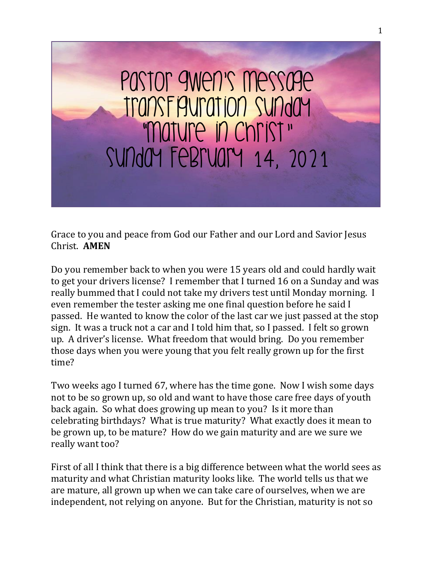

Grace to you and peace from God our Father and our Lord and Savior Jesus Christ. **AMEN**

Do you remember back to when you were 15 years old and could hardly wait to get your drivers license? I remember that I turned 16 on a Sunday and was really bummed that I could not take my drivers test until Monday morning. I even remember the tester asking me one final question before he said I passed. He wanted to know the color of the last car we just passed at the stop sign. It was a truck not a car and I told him that, so I passed. I felt so grown up. A driver's license. What freedom that would bring. Do you remember those days when you were young that you felt really grown up for the first time?

Two weeks ago I turned 67, where has the time gone. Now I wish some days not to be so grown up, so old and want to have those care free days of youth back again. So what does growing up mean to you? Is it more than celebrating birthdays? What is true maturity? What exactly does it mean to be grown up, to be mature? How do we gain maturity and are we sure we really want too?

First of all I think that there is a big difference between what the world sees as maturity and what Christian maturity looks like. The world tells us that we are mature, all grown up when we can take care of ourselves, when we are independent, not relying on anyone. But for the Christian, maturity is not so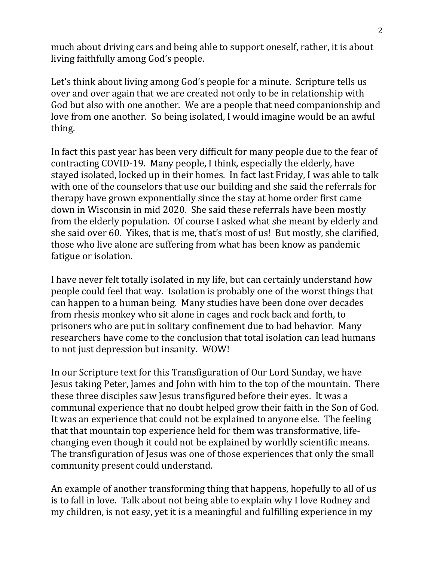much about driving cars and being able to support oneself, rather, it is about living faithfully among God's people.

Let's think about living among God's people for a minute. Scripture tells us over and over again that we are created not only to be in relationship with God but also with one another. We are a people that need companionship and love from one another. So being isolated, I would imagine would be an awful thing.

In fact this past year has been very difficult for many people due to the fear of contracting COVID-19. Many people, I think, especially the elderly, have stayed isolated, locked up in their homes. In fact last Friday, I was able to talk with one of the counselors that use our building and she said the referrals for therapy have grown exponentially since the stay at home order first came down in Wisconsin in mid 2020. She said these referrals have been mostly from the elderly population. Of course I asked what she meant by elderly and she said over 60. Yikes, that is me, that's most of us! But mostly, she clarified, those who live alone are suffering from what has been know as pandemic fatigue or isolation.

I have never felt totally isolated in my life, but can certainly understand how people could feel that way. Isolation is probably one of the worst things that can happen to a human being. Many studies have been done over decades from rhesis monkey who sit alone in cages and rock back and forth, to prisoners who are put in solitary confinement due to bad behavior. Many researchers have come to the conclusion that total isolation can lead humans to not just depression but insanity. WOW!

In our Scripture text for this Transfiguration of Our Lord Sunday, we have Jesus taking Peter, James and John with him to the top of the mountain. There these three disciples saw Jesus transfigured before their eyes. It was a communal experience that no doubt helped grow their faith in the Son of God. It was an experience that could not be explained to anyone else. The feeling that that mountain top experience held for them was transformative, lifechanging even though it could not be explained by worldly scientific means. The transfiguration of Jesus was one of those experiences that only the small community present could understand.

An example of another transforming thing that happens, hopefully to all of us is to fall in love. Talk about not being able to explain why I love Rodney and my children, is not easy, yet it is a meaningful and fulfilling experience in my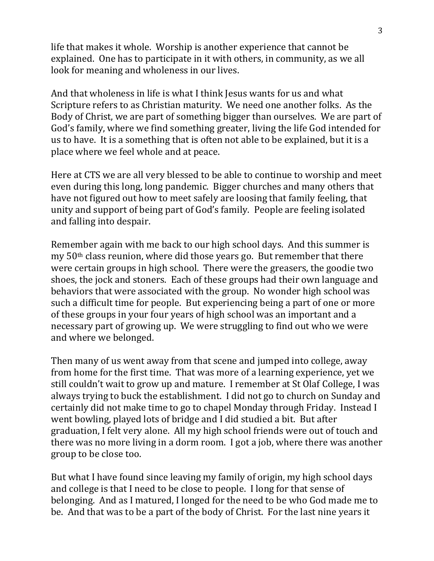life that makes it whole. Worship is another experience that cannot be explained. One has to participate in it with others, in community, as we all look for meaning and wholeness in our lives.

And that wholeness in life is what I think Jesus wants for us and what Scripture refers to as Christian maturity. We need one another folks. As the Body of Christ, we are part of something bigger than ourselves. We are part of God's family, where we find something greater, living the life God intended for us to have. It is a something that is often not able to be explained, but it is a place where we feel whole and at peace.

Here at CTS we are all very blessed to be able to continue to worship and meet even during this long, long pandemic. Bigger churches and many others that have not figured out how to meet safely are loosing that family feeling, that unity and support of being part of God's family. People are feeling isolated and falling into despair.

Remember again with me back to our high school days. And this summer is my 50th class reunion, where did those years go. But remember that there were certain groups in high school. There were the greasers, the goodie two shoes, the jock and stoners. Each of these groups had their own language and behaviors that were associated with the group. No wonder high school was such a difficult time for people. But experiencing being a part of one or more of these groups in your four years of high school was an important and a necessary part of growing up. We were struggling to find out who we were and where we belonged.

Then many of us went away from that scene and jumped into college, away from home for the first time. That was more of a learning experience, yet we still couldn't wait to grow up and mature. I remember at St Olaf College, I was always trying to buck the establishment. I did not go to church on Sunday and certainly did not make time to go to chapel Monday through Friday. Instead I went bowling, played lots of bridge and I did studied a bit. But after graduation, I felt very alone. All my high school friends were out of touch and there was no more living in a dorm room. I got a job, where there was another group to be close too.

But what I have found since leaving my family of origin, my high school days and college is that I need to be close to people. I long for that sense of belonging. And as I matured, I longed for the need to be who God made me to be. And that was to be a part of the body of Christ. For the last nine years it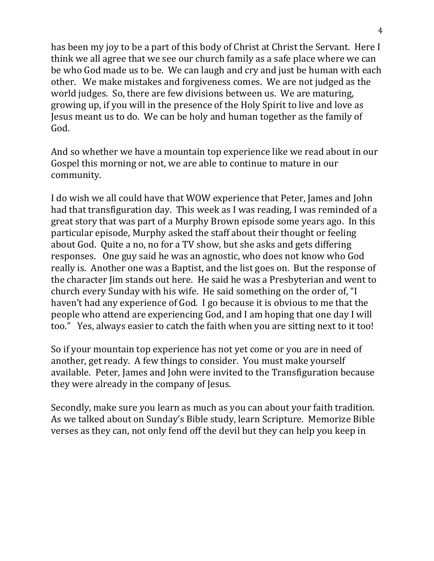has been my joy to be a part of this body of Christ at Christ the Servant. Here I think we all agree that we see our church family as a safe place where we can be who God made us to be. We can laugh and cry and just be human with each other. We make mistakes and forgiveness comes. We are not judged as the world judges. So, there are few divisions between us. We are maturing, growing up, if you will in the presence of the Holy Spirit to live and love as Jesus meant us to do. We can be holy and human together as the family of God.

And so whether we have a mountain top experience like we read about in our Gospel this morning or not, we are able to continue to mature in our community.

I do wish we all could have that WOW experience that Peter, James and John had that transfiguration day. This week as I was reading, I was reminded of a great story that was part of a Murphy Brown episode some years ago. In this particular episode, Murphy asked the staff about their thought or feeling about God. Quite a no, no for a TV show, but she asks and gets differing responses. One guy said he was an agnostic, who does not know who God really is. Another one was a Baptist, and the list goes on. But the response of the character Jim stands out here. He said he was a Presbyterian and went to church every Sunday with his wife. He said something on the order of, "I haven't had any experience of God. I go because it is obvious to me that the people who attend are experiencing God, and I am hoping that one day I will too." Yes, always easier to catch the faith when you are sitting next to it too!

So if your mountain top experience has not yet come or you are in need of another, get ready. A few things to consider. You must make yourself available. Peter, James and John were invited to the Transfiguration because they were already in the company of Jesus.

Secondly, make sure you learn as much as you can about your faith tradition. As we talked about on Sunday's Bible study, learn Scripture. Memorize Bible verses as they can, not only fend off the devil but they can help you keep in